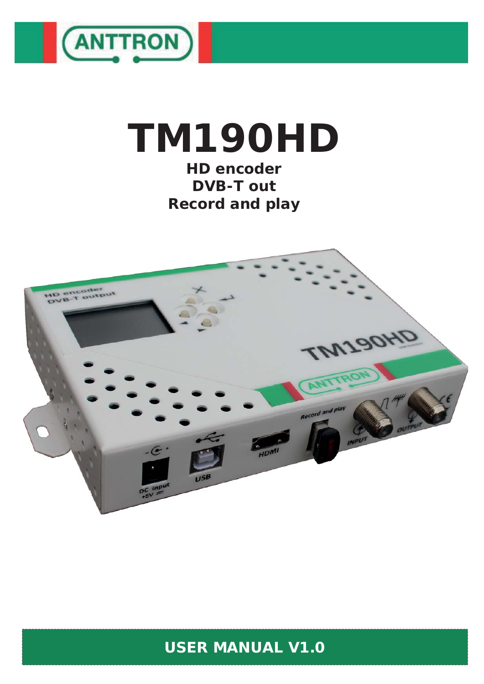

# **TM190HD**

**HD encoder DVB-T out Record and play**



### **USER MANUAL V1.0**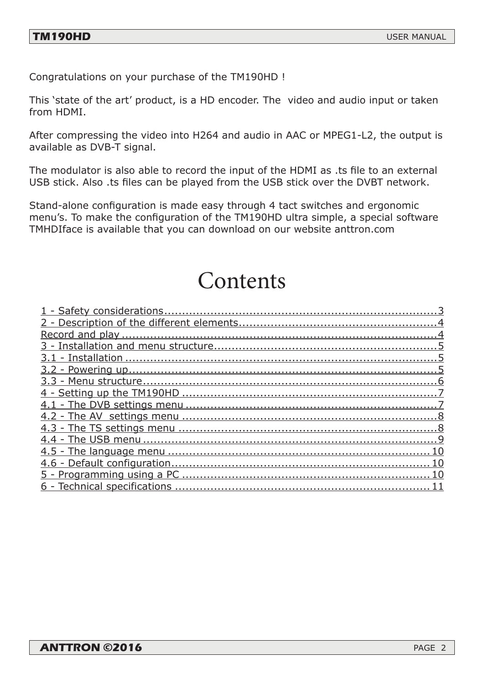Congratulations on your purchase of the TM190HD !

This 'state of the art' product, is a HD encoder. The video and audio input or taken from HDMI.

After compressing the video into H264 and audio in AAC or MPEG1-L2, the output is available as DVB-T signal.

The modulator is also able to record the input of the HDMI as .ts file to an external USB stick. Also .ts files can be played from the USB stick over the DVBT network.

Stand-alone configuration is made easy through 4 tact switches and ergonomic menu's. To make the configuration of the TM190HD ultra simple, a special software TMHDIface is available that you can download on our website anttron.com

## Contents

| 6 - |
|-----|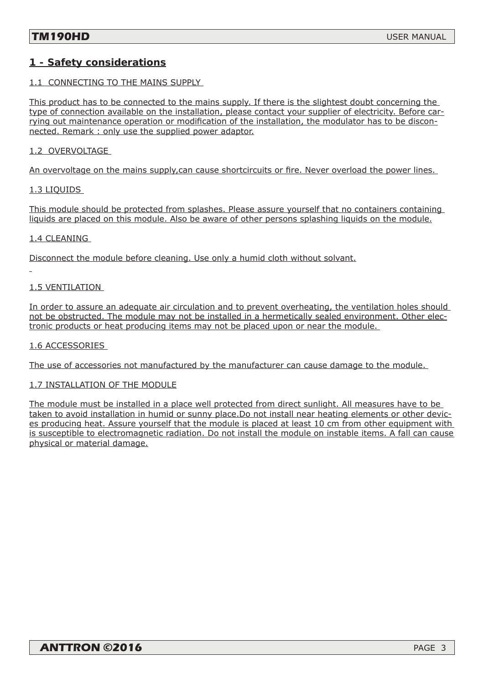### **1 - Safety considerations**

### 1.1 CONNECTING TO THE MAINS SUPPLY

This product has to be connected to the mains supply. If there is the slightest doubt concerning the type of connection available on the installation, please contact your supplier of electricity. Before carrying out maintenance operation or modification of the installation, the modulator has to be disconnected. Remark : only use the supplied power adaptor.

### 1.2 OVERVOLTAGE

An overvoltage on the mains supply, can cause shortcircuits or fire. Never overload the power lines.

1.3 LIQUIDS

This module should be protected from splashes. Please assure yourself that no containers containing liquids are placed on this module. Also be aware of other persons splashing liquids on the module.

#### 1.4 CLEANING

Disconnect the module before cleaning. Use only a humid cloth without solvant.

### 1.5 VENTILATION

In order to assure an adequate air circulation and to prevent overheating, the ventilation holes should not be obstructed. The module may not be installed in a hermetically sealed environment. Other electronic products or heat producing items may not be placed upon or near the module.

#### 1.6 ACCESSORIES

The use of accessories not manufactured by the manufacturer can cause damage to the module.

### 1.7 INSTALLATION OF THE MODULE

The module must be installed in a place well protected from direct sunlight. All measures have to be taken to avoid installation in humid or sunny place.Do not install near heating elements or other devices producing heat. Assure yourself that the module is placed at least 10 cm from other equipment with is susceptible to electromagnetic radiation. Do not install the module on instable items. A fall can cause physical or material damage.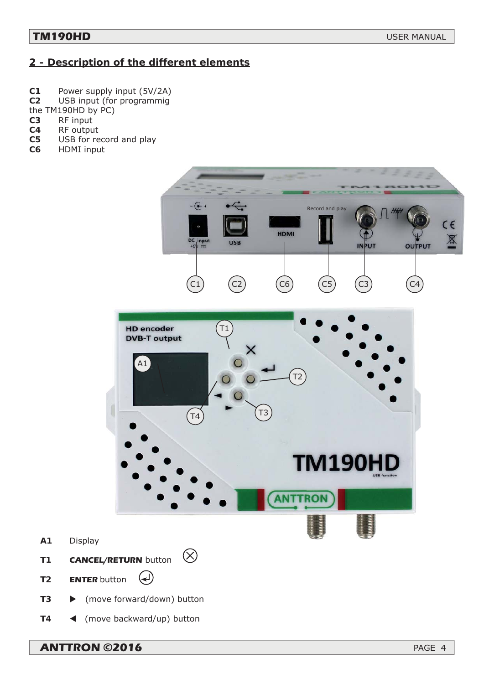### **2 - Description of the different elements**

- **C1** Power supply input (5V/2A)
- **C2** USB input (for programmig
- the TM190HD by PC)
- **C3** RF input
- **C4** RF output
- **C5** USB for record and play
- **C6** HDMI input



**T4** (move backward/up) button

**ANTTRON ©2016** PAGE 4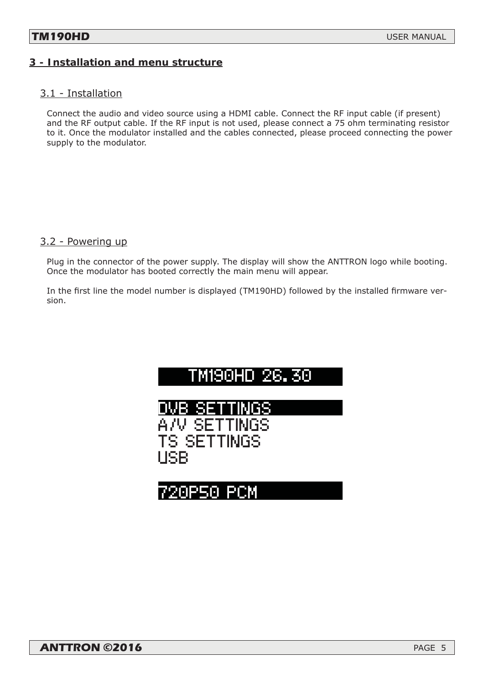### **3 - Installation and menu structure**

### 3.1 - Installation

Connect the audio and video source using a HDMI cable. Connect the RF input cable (if present) and the RF output cable. If the RF input is not used, please connect a 75 ohm terminating resistor to it. Once the modulator installed and the cables connected, please proceed connecting the power supply to the modulator.

### 3.2 - Powering up

Plug in the connector of the power supply. The display will show the ANTTRON logo while booting. Once the modulator has booted correctly the main menu will appear.

In the first line the model number is displayed (TM190HD) followed by the installed firmware version.



### 720P50 PCM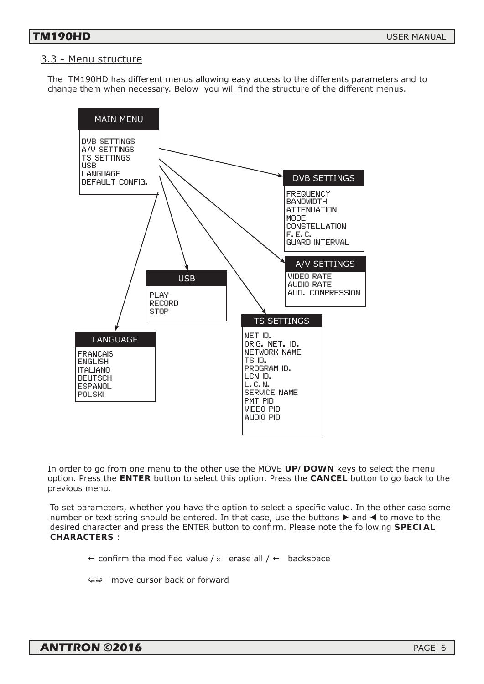### 3.3 - Menu structure

The TM190HD has different menus allowing easy access to the differents parameters and to change them when necessary. Below you will find the structure of the different menus.



In order to go from one menu to the other use the MOVE *UP/DOWN* keys to select the menu option. Press the *ENTER* button to select this option. Press the *CANCEL* button to go back to the previous menu.

To set parameters, whether you have the option to select a specific value. In the other case some number or text string should be entered. In that case, use the buttons  $\blacktriangleright$  and  $\blacktriangleleft$  to move to the desired character and press the ENTER button to confirm. Please note the following **SPECIAL** *CHARACTERS* :

 $\leftarrow$  confirm the modified value / x erase all /  $\leftarrow$  backspace

move cursor back or forward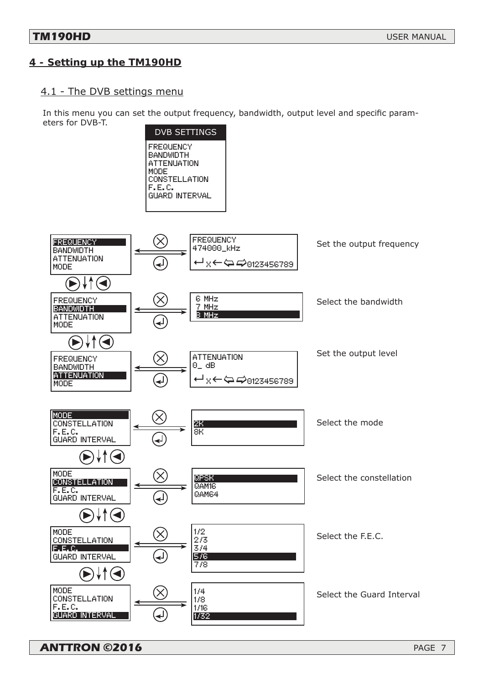### **4 - Setting up the TM190HD**

### 4.1 - The DVB settings menu

In this menu you can set the output frequency, bandwidth, output level and specific parameters for DVB-T.



**ANTTRON ©2016** PAGE 7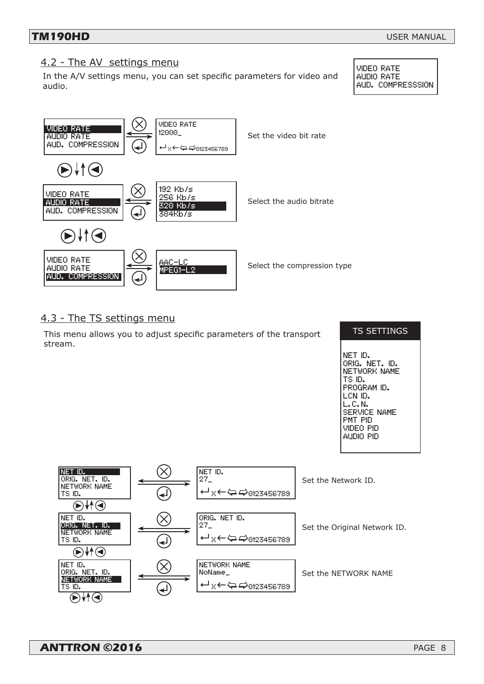### 4.2 - The AV settings menu

In the A/V settings menu, you can set specific parameters for video and audio.

VIDEO RATE AUDIO RATE AUD. COMPRESSSION



### 4.3 - The TS settings menu

This menu allows you to adjust specific parameters of the transport stream.

#### TS SETTINGS

NET ID. ORIG. NET. ID. NETWORK NAME TS ID. PROGRAM ID. LCN ID. L.C.N. SERVICE NAME PMT PID VIDEO PID AUDIO PID

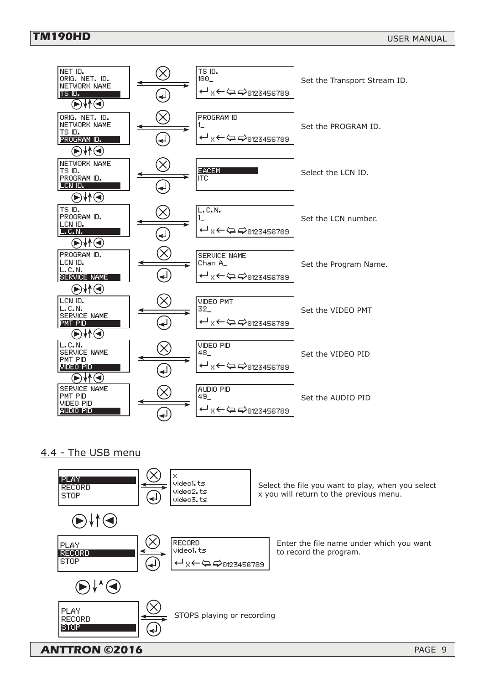### **TM190HD**



### 4.4 - The USB menu

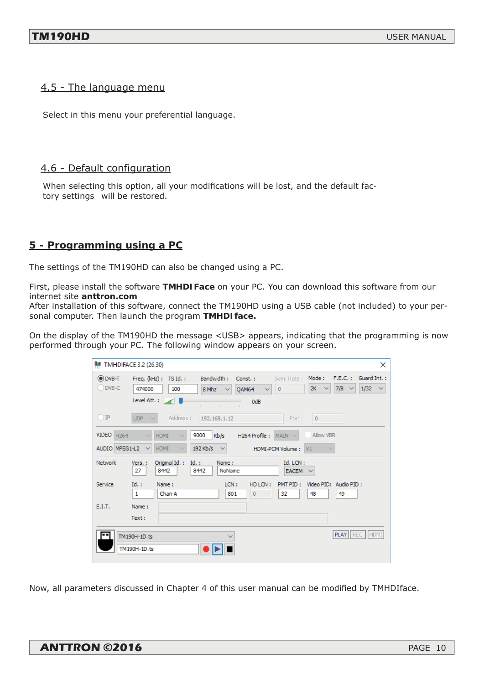### 4.5 - The language menu

Select in this menu your preferential language.

### 4.6 - Default configuration

When selecting this option, all your modifications will be lost, and the default factory settings will be restored.

### **5 - Programming using a PC**

The settings of the TM190HD can also be changed using a PC.

First, please install the software **TMHDIFace** on your PC. You can download this software from our internet site **anttron.com**

After installation of this software, connect the TM190HD using a USB cable (not included) to your personal computer. Then launch the program **TMHDIface.**

On the display of the TM190HD the message <USB> appears, indicating that the programming is now performed through your PC. The following window appears on your screen.

| <b>MULTMHDIFACE 3.2 (26.30)</b><br>$\times$                                                                                                                                                                          |                                                                                                                                                                                                                                                                                           |  |  |  |
|----------------------------------------------------------------------------------------------------------------------------------------------------------------------------------------------------------------------|-------------------------------------------------------------------------------------------------------------------------------------------------------------------------------------------------------------------------------------------------------------------------------------------|--|--|--|
| O DVB-T<br>$O$ DVB-C                                                                                                                                                                                                 | Mode:<br>F.E.C.: Guard Int.:<br>Bandwidth:<br>Freq. $(kHz)$ : TS Id.:<br>Const.:<br>Sym, Rate :<br>7/8<br>1/32<br>2K<br>$\circ$<br>474000<br>100<br>$\checkmark$<br>OAM64<br>8 Mhz<br>$\checkmark$<br>$\checkmark$<br>$\checkmark$<br>$\checkmark$<br>Level Att. : 20<br>0dB<br>$\sim$ 1. |  |  |  |
| $\bigcirc$ IP                                                                                                                                                                                                        | Address:<br><b>UDP</b><br>192.168.1.12<br>$\circ$<br>Port:                                                                                                                                                                                                                                |  |  |  |
| VIDEO H264<br>Allow VBR<br>9000<br><b>HDMI</b><br>Kb/s<br>H264 Profile : $MAIN \sim$<br>$\sim$<br>$192$ Kb/s<br>AUDIO MPEG1-L2<br><b>HDMI</b><br>$\checkmark$<br>HDMI-PCM Volume: X1<br>$\checkmark$<br>$\checkmark$ |                                                                                                                                                                                                                                                                                           |  |  |  |
| <b>Network</b>                                                                                                                                                                                                       | Original Id. :<br>Id. LCN:<br>Vers.:<br>$Id.$ :<br>Name:<br>27<br>8442<br>8442<br>NoName<br>$EACEM \sim$                                                                                                                                                                                  |  |  |  |
| Service                                                                                                                                                                                                              | $Id.$ :<br>Video PID: Audio PID:<br>LCN:<br>HD LCN:<br>PMT PID:<br>Name:<br>Chan A<br>$\overline{0}$<br>48<br>49<br>1<br>801<br>32                                                                                                                                                        |  |  |  |
| E.I.T.                                                                                                                                                                                                               | Name:<br>Text:                                                                                                                                                                                                                                                                            |  |  |  |
|                                                                                                                                                                                                                      | PLAY   REC   HDMI<br>TM190H-1D.ts<br>$\checkmark$<br>TM190H-1D.ts                                                                                                                                                                                                                         |  |  |  |

Now, all parameters discussed in Chapter 4 of this user manual can be modified by TMHDIface.